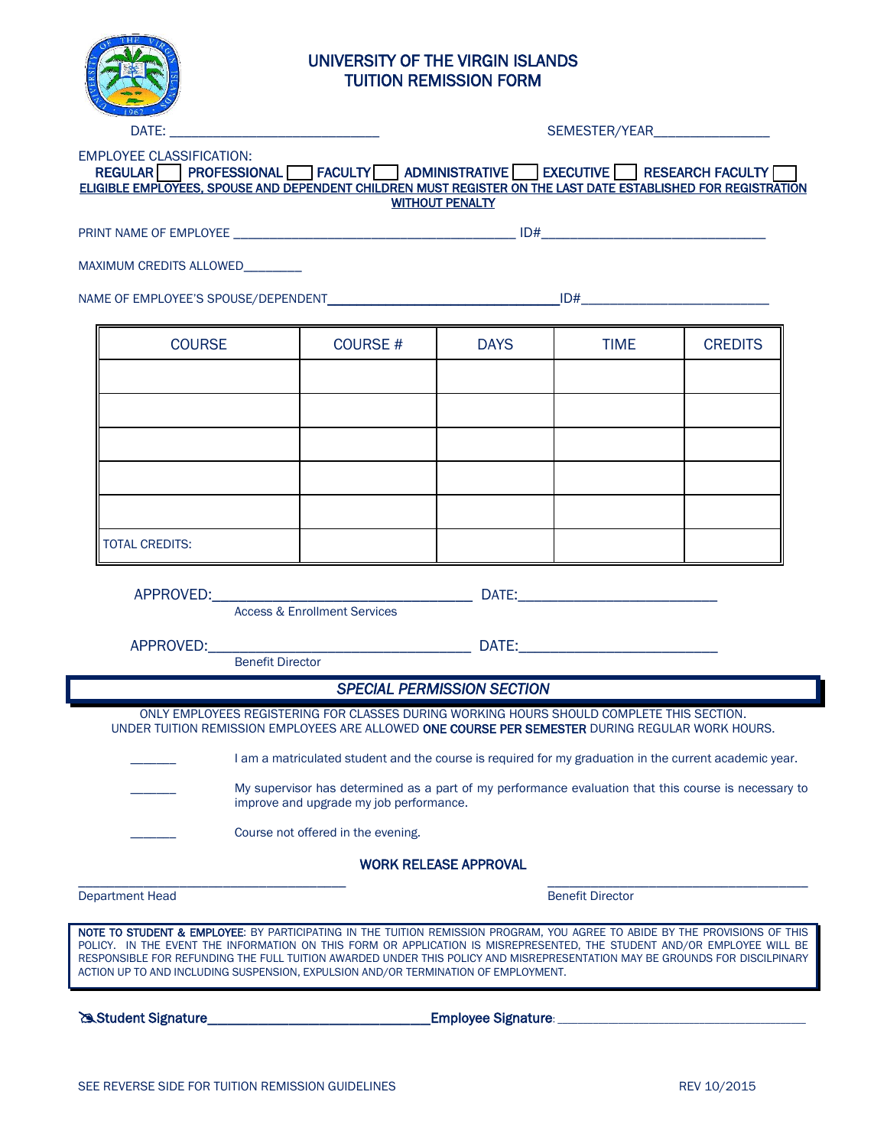

# UNIVERSITY OF THE VIRGIN ISLANDS TUITION REMISSION FORM

| REGULAR PROFESSIONAL FACULTY ADMINISTRATIVE EXECUTIVE RESEARCH FACULTY<br>ELIGIBLE EMPLOYEES, SPOUSE AND DEPENDENT CHILDREN MUST REGISTER ON THE LAST DATE ESTABLISHED FOR REGISTRATION |                                                                                                                                                                                                                | <b>WITHOUT PENALTY</b>            |                         |                |
|-----------------------------------------------------------------------------------------------------------------------------------------------------------------------------------------|----------------------------------------------------------------------------------------------------------------------------------------------------------------------------------------------------------------|-----------------------------------|-------------------------|----------------|
|                                                                                                                                                                                         |                                                                                                                                                                                                                |                                   |                         |                |
| MAXIMUM CREDITS ALLOWED                                                                                                                                                                 |                                                                                                                                                                                                                |                                   |                         |                |
|                                                                                                                                                                                         |                                                                                                                                                                                                                |                                   |                         |                |
| <b>COURSE</b>                                                                                                                                                                           | <b>COURSE #</b>                                                                                                                                                                                                | <b>DAYS</b>                       | <b>TIME</b>             | <b>CREDITS</b> |
|                                                                                                                                                                                         |                                                                                                                                                                                                                |                                   |                         |                |
|                                                                                                                                                                                         |                                                                                                                                                                                                                |                                   |                         |                |
|                                                                                                                                                                                         |                                                                                                                                                                                                                |                                   |                         |                |
|                                                                                                                                                                                         |                                                                                                                                                                                                                |                                   |                         |                |
|                                                                                                                                                                                         |                                                                                                                                                                                                                |                                   |                         |                |
| <b>TOTAL CREDITS:</b>                                                                                                                                                                   |                                                                                                                                                                                                                |                                   |                         |                |
| <b>Benefit Director</b>                                                                                                                                                                 | APPROVED: DATE: DATE: DATE:<br><b>Access &amp; Enrollment Services</b>                                                                                                                                         |                                   |                         |                |
|                                                                                                                                                                                         |                                                                                                                                                                                                                | <b>SPECIAL PERMISSION SECTION</b> |                         |                |
|                                                                                                                                                                                         | ONLY EMPLOYEES REGISTERING FOR CLASSES DURING WORKING HOURS SHOULD COMPLETE THIS SECTION.                                                                                                                      |                                   |                         |                |
| UNDER TUITION REMISSION EMPLOYEES ARE ALLOWED <b>ONE COURSE PER SEMESTER</b> DURING REGULAR WORK HOURS.                                                                                 |                                                                                                                                                                                                                |                                   |                         |                |
|                                                                                                                                                                                         | I am a matriculated student and the course is required for my graduation in the current academic year.<br>My supervisor has determined as a part of my performance evaluation that this course is necessary to |                                   |                         |                |
|                                                                                                                                                                                         | improve and upgrade my job performance.                                                                                                                                                                        |                                   |                         |                |
|                                                                                                                                                                                         | Course not offered in the evening.                                                                                                                                                                             |                                   |                         |                |
|                                                                                                                                                                                         |                                                                                                                                                                                                                | <b>WORK RELEASE APPROVAL</b>      |                         |                |
| <b>Department Head</b>                                                                                                                                                                  |                                                                                                                                                                                                                |                                   | <b>Benefit Director</b> |                |
| NOTE TO STUDENT & EMPLOYEE: BY PARTICIPATING IN THE TUITION REMISSION PROGRAM, YOU AGREE TO ABIDE BY THE PROVISIONS OF THIS                                                             | POLICY. IN THE EVENT THE INFORMATION ON THIS FORM OR APPLICATION IS MISREPRESENTED, THE STUDENT AND/OR EMPLOYEE WILL BE                                                                                        |                                   |                         |                |